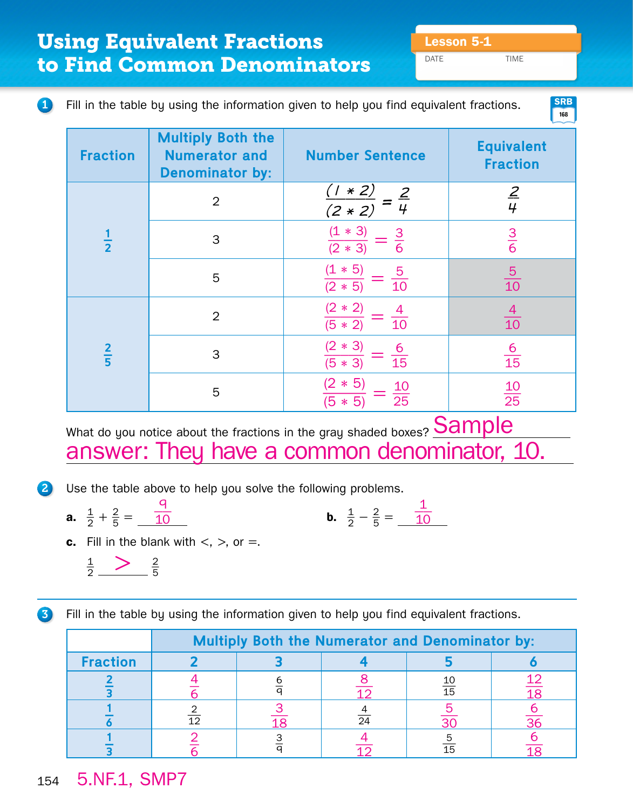DATE TIME

## **1** Fill in the table by using the information given to help you find equivalent fractions.

**168 SRB**

| <b>Fraction</b> | <b>Multiply Both the</b><br><b>Numerator and</b><br><b>Denominator by:</b> | <b>Number Sentence</b>                                     | <b>Equivalent</b><br><b>Fraction</b> |
|-----------------|----------------------------------------------------------------------------|------------------------------------------------------------|--------------------------------------|
| $\frac{1}{2}$   | $\overline{2}$                                                             | * 2)<br>$(2 * 2)$                                          | $\frac{2}{4}$                        |
|                 | 3                                                                          | $(1 * 3)$<br>$rac{3}{6}$<br>$(2 * 3)$                      | $rac{3}{6}$                          |
|                 | 5                                                                          | $(1 * 5)$<br>$\frac{5}{10}$<br>$(2 * 5)$                   | $\frac{5}{10}$                       |
| $rac{2}{5}$     | $\overline{2}$                                                             | $(2 * 2)$<br>$\frac{4}{1}$<br>$\overline{10}$<br>$(5 * 2)$ | $\frac{4}{10}$                       |
|                 | 3                                                                          | $(2 * 3)$<br>$\frac{6}{15}$<br>$(5 * 3)$                   | $\frac{6}{15}$                       |
|                 | 5                                                                          | $* 5)$<br>$\frac{10}{25}$<br>$5 * 5$                       | $\frac{10}{25}$                      |

What do you notice about the fractions in the gray shaded boxes?  $\operatorname{Sample}$ answer: They have a common denominator, 10.

2 Use the table above to help you solve the following problems.

**a.**  $\frac{1}{2} + \frac{2}{5}$  $rac{2}{5} = \frac{9}{10}$  $\frac{1}{10}$  **b.**  $\frac{1}{2}$ 

$$
\frac{1}{2} - \frac{2}{5} = \frac{1}{10}
$$

**c.** Fill in the blank with  $\lt$ ,  $\gt$ , or  $=$ .

$$
\frac{1}{2} \longrightarrow \frac{2}{5}
$$

**3** Fill in the table by using the information given to help you find equivalent fractions.

|                 | <b>Multiply Both the Numerator and Denominator by:</b> |  |                 |                 |                 |  |
|-----------------|--------------------------------------------------------|--|-----------------|-----------------|-----------------|--|
| <b>Fraction</b> |                                                        |  |                 |                 |                 |  |
|                 |                                                        |  |                 | $\overline{15}$ |                 |  |
|                 | 12                                                     |  | $\overline{24}$ |                 | $\overline{36}$ |  |
|                 |                                                        |  |                 | 15              |                 |  |

## 5.NF.1, SMP7 154